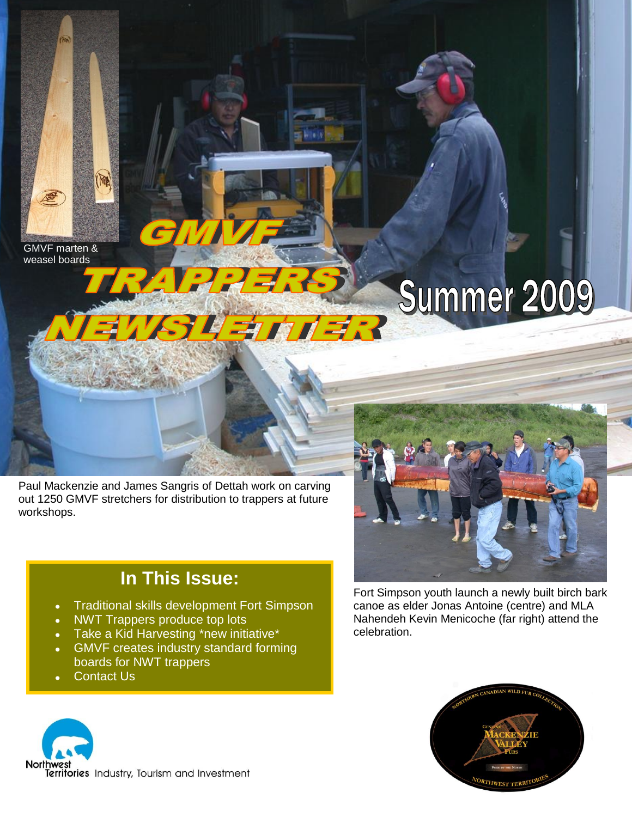GMVF marten & weasel boards

KIB

# Summer 2009

Paul Mackenzie and James Sangris of Dettah work on carving out 1250 GMVF stretchers for distribution to trappers at future workshops.

学的才学

## **In This Issue:**

- Traditional skills development Fort Simpson
- NWT Trappers produce top lots
- Take a Kid Harvesting \*new initiative\*
- GMVF creates industry standard forming  $\bullet$ boards for NWT trappers
- Contact Us





Fort Simpson youth launch a newly built birch bark canoe as elder Jonas Antoine (centre) and MLA Nahendeh Kevin Menicoche (far right) attend the celebration.

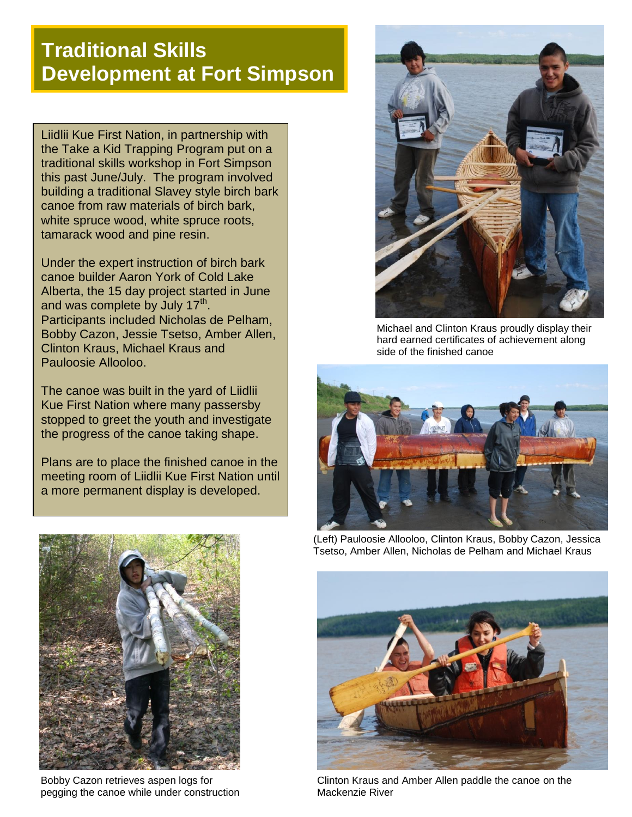# **Traditional Skills Development at Fort Simpson**

Liidlii Kue First Nation, in partnership with the Take a Kid Trapping Program put on a traditional skills workshop in Fort Simpson this past June/July. The program involved building a traditional Slavey style birch bark canoe from raw materials of birch bark, white spruce wood, white spruce roots, tamarack wood and pine resin.

Under the expert instruction of birch bark canoe builder Aaron York of Cold Lake Alberta, the 15 day project started in June and was complete by July 17<sup>th</sup>. Participants included Nicholas de Pelham, Bobby Cazon, Jessie Tsetso, Amber Allen, Clinton Kraus, Michael Kraus and Pauloosie Allooloo.

The canoe was built in the yard of Liidlii Kue First Nation where many passersby stopped to greet the youth and investigate the progress of the canoe taking shape.

Plans are to place the finished canoe in the meeting room of Liidlii Kue First Nation until a more permanent display is developed.



Michael and Clinton Kraus proudly display their hard earned certificates of achievement along side of the finished canoe





Bobby Cazon retrieves aspen logs for pegging the canoe while under construction

(Left) Pauloosie Allooloo, Clinton Kraus, Bobby Cazon, Jessica Tsetso, Amber Allen, Nicholas de Pelham and Michael Kraus



Clinton Kraus and Amber Allen paddle the canoe on the Mackenzie River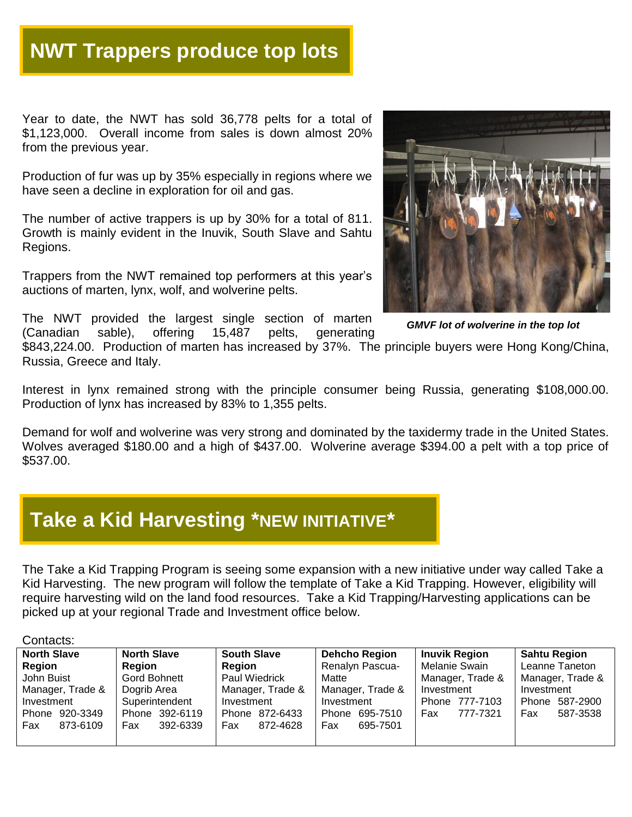# **NWT Trappers produce top lots**

Year to date, the NWT has sold 36,778 pelts for a total of \$1,123,000. Overall income from sales is down almost 20% from the previous year.

Production of fur was up by 35% especially in regions where we have seen a decline in exploration for oil and gas.

The number of active trappers is up by 30% for a total of 811. Growth is mainly evident in the Inuvik, South Slave and Sahtu Regions.

Trappers from the NWT remained top performers at this year's auctions of marten, lynx, wolf, and wolverine pelts.





 *GMVF lot of wolverine in the top lot*

\$843,224.00. Production of marten has increased by 37%. The principle buyers were Hong Kong/China, Russia, Greece and Italy.

Interest in lynx remained strong with the principle consumer being Russia, generating \$108,000.00. Production of lynx has increased by 83% to 1,355 pelts.

Demand for wolf and wolverine was very strong and dominated by the taxidermy trade in the United States. Wolves averaged \$180.00 and a high of \$437.00. Wolverine average \$394.00 a pelt with a top price of \$537.00.

## **Take a Kid Harvesting \*NEW INITIATIVE\***

The Take a Kid Trapping Program is seeing some expansion with a new initiative under way called Take a Kid Harvesting. The new program will follow the template of Take a Kid Trapping. However, eligibility will require harvesting wild on the land food resources. Take a Kid Trapping/Harvesting applications can be picked up at your regional Trade and Investment office below.

#### Contacts:

| <b>North Slave</b> | <b>North Slave</b> | <b>South Slave</b> | <b>Dehcho Region</b> | <b>Inuvik Region</b> | <b>Sahtu Region</b> |
|--------------------|--------------------|--------------------|----------------------|----------------------|---------------------|
| Region             | Reaion             | Region             | Renalyn Pascua-      | Melanie Swain        | Leanne Taneton      |
| John Buist         | Gord Bohnett       | Paul Wiedrick      | Matte                | Manager, Trade &     | Manager, Trade &    |
| Manager, Trade &   | Dogrib Area        | Manager, Trade &   | Manager, Trade &     | Investment           | Investment          |
| Investment         | Superintendent     | Investment         | Investment           | Phone 777-7103       | Phone 587-2900      |
| Phone 920-3349     | Phone 392-6119     | Phone 872-6433     | 695-7510<br>Phone    | 777-7321<br>Fax      | Fax<br>587-3538     |
| Fax<br>873-6109    | 392-6339<br>Fax    | 872-4628<br>Fax    | Fax<br>695-7501      |                      |                     |
|                    |                    |                    |                      |                      |                     |